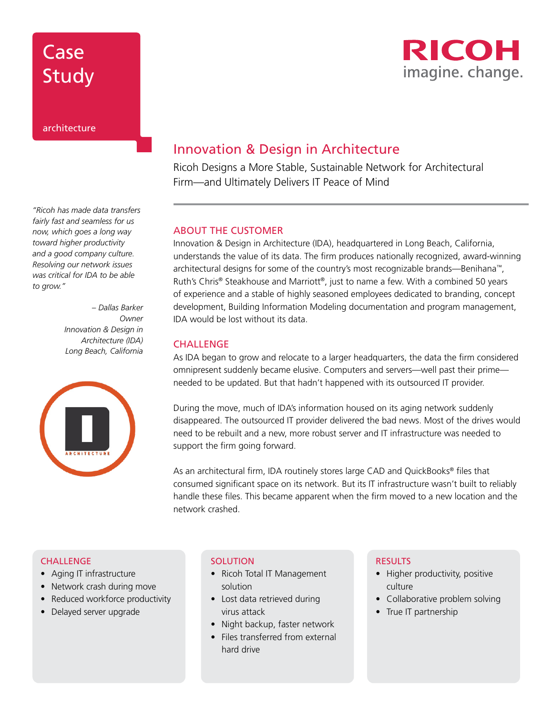

*"Ricoh has made data transfers fairly fast and seamless for us now, which goes a long way toward higher productivity and a good company culture. Resolving our network issues was critical for IDA to be able to grow."* 

> *– Dallas Barker Owner Innovation & Design in Architecture (IDA) Long Beach, California*



# Innovation & Design in Architecture

Ricoh Designs a More Stable, Sustainable Network for Architectural Firm—and Ultimately Delivers IT Peace of Mind

### ABOUT THE CUSTOMER

Innovation & Design in Architecture (IDA), headquartered in Long Beach, California, understands the value of its data. The firm produces nationally recognized, award-winning architectural designs for some of the country's most recognizable brands—Benihana™, Ruth's Chris® Steakhouse and Marriott®, just to name a few. With a combined 50 years of experience and a stable of highly seasoned employees dedicated to branding, concept development, Building Information Modeling documentation and program management, IDA would be lost without its data.

### **CHALLENGE**

As IDA began to grow and relocate to a larger headquarters, the data the firm considered omnipresent suddenly became elusive. Computers and servers—well past their prime needed to be updated. But that hadn't happened with its outsourced IT provider.

During the move, much of IDA's information housed on its aging network suddenly disappeared. The outsourced IT provider delivered the bad news. Most of the drives would need to be rebuilt and a new, more robust server and IT infrastructure was needed to support the firm going forward.

As an architectural firm, IDA routinely stores large CAD and QuickBooks® files that consumed significant space on its network. But its IT infrastructure wasn't built to reliably handle these files. This became apparent when the firm moved to a new location and the network crashed.

#### **CHALLENGE**

- Aging IT infrastructure
- Network crash during move
- Reduced workforce productivity
- Delayed server upgrade

#### **SOLUTION**

- Ricoh Total IT Management solution
- Lost data retrieved during virus attack
- Night backup, faster network
- Files transferred from external hard drive

### RESULTS

- Higher productivity, positive culture
- Collaborative problem solving
- True IT partnership

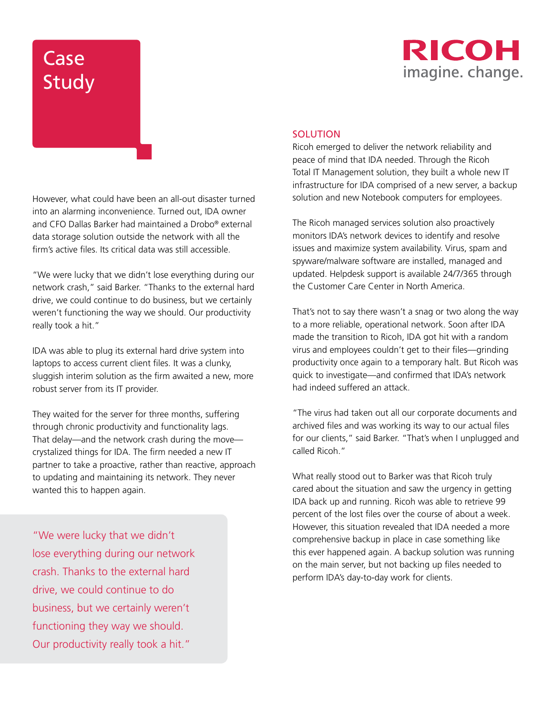

## **SOLUTION**

Ricoh emerged to deliver the network reliability and peace of mind that IDA needed. Through the Ricoh Total IT Management solution, they built a whole new IT infrastructure for IDA comprised of a new server, a backup solution and new Notebook computers for employees.

The Ricoh managed services solution also proactively monitors IDA's network devices to identify and resolve issues and maximize system availability. Virus, spam and spyware/malware software are installed, managed and updated. Helpdesk support is available 24/7/365 through the Customer Care Center in North America.

That's not to say there wasn't a snag or two along the way to a more reliable, operational network. Soon after IDA made the transition to Ricoh, IDA got hit with a random virus and employees couldn't get to their files—grinding productivity once again to a temporary halt. But Ricoh was quick to investigate—and confirmed that IDA's network had indeed suffered an attack.

"The virus had taken out all our corporate documents and archived files and was working its way to our actual files for our clients," said Barker. "That's when I unplugged and called Ricoh."

What really stood out to Barker was that Ricoh truly cared about the situation and saw the urgency in getting IDA back up and running. Ricoh was able to retrieve 99 percent of the lost files over the course of about a week. However, this situation revealed that IDA needed a more comprehensive backup in place in case something like this ever happened again. A backup solution was running on the main server, but not backing up files needed to perform IDA's day-to-day work for clients.

However, what could have been an all-out disaster turned into an alarming inconvenience. Turned out, IDA owner and CFO Dallas Barker had maintained a Drobo® external data storage solution outside the network with all the firm's active files. Its critical data was still accessible.

"We were lucky that we didn't lose everything during our network crash," said Barker. "Thanks to the external hard drive, we could continue to do business, but we certainly weren't functioning the way we should. Our productivity really took a hit."

IDA was able to plug its external hard drive system into laptops to access current client files. It was a clunky, sluggish interim solution as the firm awaited a new, more robust server from its IT provider.

They waited for the server for three months, suffering through chronic productivity and functionality lags. That delay—and the network crash during the move crystalized things for IDA. The firm needed a new IT partner to take a proactive, rather than reactive, approach to updating and maintaining its network. They never wanted this to happen again.

"We were lucky that we didn't lose everything during our network crash. Thanks to the external hard drive, we could continue to do business, but we certainly weren't functioning they way we should. Our productivity really took a hit."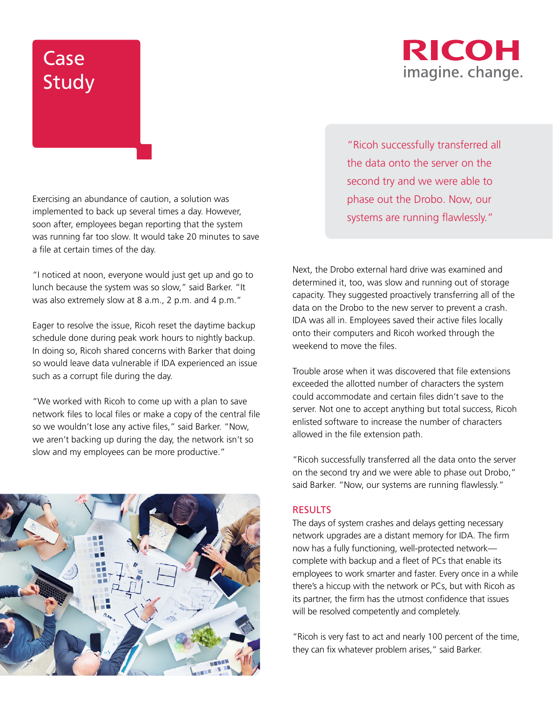# RICOH imagine. change.

Exercising an abundance of caution, a solution was implemented to back up several times a day. However, soon after, employees began reporting that the system was running far too slow. It would take 20 minutes to save a file at certain times of the day.

"I noticed at noon, everyone would just get up and go to lunch because the system was so slow," said Barker. "It was also extremely slow at 8 a.m., 2 p.m. and 4 p.m."

Eager to resolve the issue, Ricoh reset the daytime backup schedule done during peak work hours to nightly backup. In doing so, Ricoh shared concerns with Barker that doing so would leave data vulnerable if IDA experienced an issue such as a corrupt file during the day.

"We worked with Ricoh to come up with a plan to save network files to local files or make a copy of the central file so we wouldn't lose any active files," said Barker. "Now, we aren't backing up during the day, the network isn't so slow and my employees can be more productive."



"Ricoh successfully transferred all the data onto the server on the second try and we were able to phase out the Drobo. Now, our systems are running flawlessly."

Next, the Drobo external hard drive was examined and determined it, too, was slow and running out of storage capacity. They suggested proactively transferring all of the data on the Drobo to the new server to prevent a crash. IDA was all in. Employees saved their active files locally onto their computers and Ricoh worked through the weekend to move the files.

Trouble arose when it was discovered that file extensions exceeded the allotted number of characters the system could accommodate and certain files didn't save to the server. Not one to accept anything but total success, Ricoh enlisted software to increase the number of characters allowed in the file extension path.

"Ricoh successfully transferred all the data onto the server on the second try and we were able to phase out Drobo," said Barker. "Now, our systems are running flawlessly."

## **RESULTS**

The days of system crashes and delays getting necessary network upgrades are a distant memory for IDA. The firm now has a fully functioning, well-protected network complete with backup and a fleet of PCs that enable its employees to work smarter and faster. Every once in a while there's a hiccup with the network or PCs, but with Ricoh as its partner, the firm has the utmost confidence that issues will be resolved competently and completely.

"Ricoh is very fast to act and nearly 100 percent of the time, they can fix whatever problem arises," said Barker.